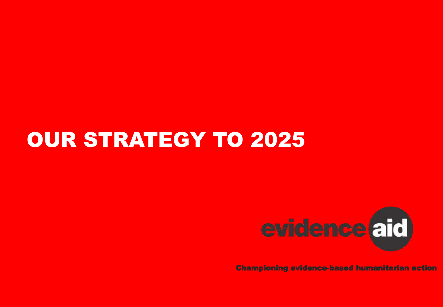# OUR STRATEGY TO 2025



Championing evidence-based humanitarian action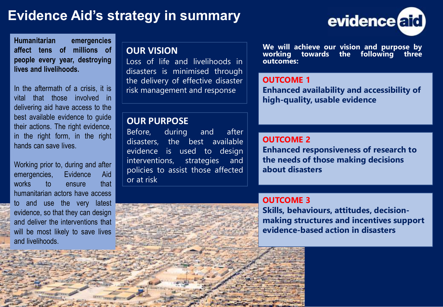# **Evidence Aid's strategy in summary**



**Humanitarian emergencies affect tens of millions of people every year, destroying lives and livelihoods.**

In the aftermath of a crisis, it is vital that those involved in delivering aid have access to the best available evidence to guide their actions. The right evidence, in the right form, in the right hands can save lives.

Working prior to, during and after emergencies, Evidence Aid works to ensure that humanitarian actors have access to and use the very latest evidence, so that they can design and deliver the interventions that will be most likely to save lives and livelihoods.

#### **OUR VISION**

Loss of life and livelihoods in disasters is minimised through the delivery of effective disaster risk management and response

#### **OUR PURPOSE**

Before, during and after disasters, the best available evidence is used to design interventions, strategies and policies to assist those affected or at risk



**We will achieve our vision and purpose by working towards the following three outcomes:**

#### **OUTCOME 1**

**Enhanced availability and accessibility of high-quality, usable evidence**

#### **OUTCOME 2**

**Enhanced responsiveness of research to the needs of those making decisions about disasters**

#### **OUTCOME 3**

**Skills, behaviours, attitudes, decisionmaking structures and incentives support evidence-based action in disasters**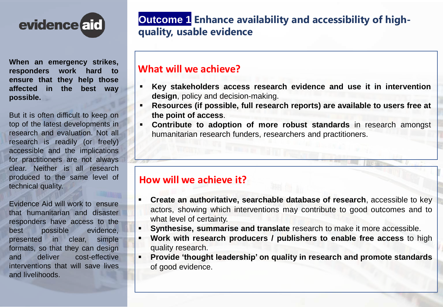

**When an emergency strikes, responders work hard to ensure that they help those affected in the best way possible.**

But it is often difficult to keep on top of the latest developments in research and evaluation. Not all research is readily (or freely) accessible and the implications for practitioners are not always clear. Neither is all research produced to the same level of technical quality.

Evidence Aid will work to ensure that humanitarian and disaster responders have access to the best possible evidence, presented in clear, simple formats, so that they can design and deliver cost-effective interventions that will save lives and livelihoods.

# • **Outcome 1 Enhance availability and accessibility of highquality, usable evidence**

#### **What will we achieve?**

- **Key stakeholders access research evidence and use it in intervention design**, policy and decision-making.
- **Resources (if possible, full research reports) are available to users free at the point of access**.
- **Contribute to adoption of more robust standards** in research amongst humanitarian research funders, researchers and practitioners.

## **How will we achieve it?**

- **Create an authoritative, searchable database of research**, accessible to key actors, showing which interventions may contribute to good outcomes and to what level of certainty.
	- **Synthesise, summarise and translate** research to make it more accessible.
- **Work with research producers / publishers to enable free access** to high quality research.
- **Provide 'thought leadership' on quality in research and promote standards** of good evidence.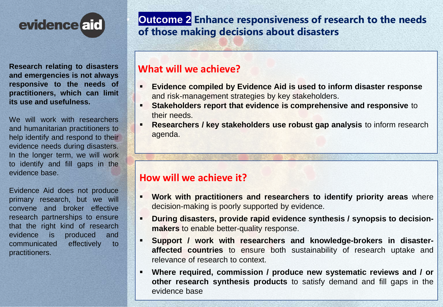

**Research relating to disasters and emergencies is not always responsive to the needs of practitioners, which can limit its use and usefulness.**

We will work with researchers and humanitarian practitioners to help identify and respond to their evidence needs during disasters. In the longer term, we will work to identify and fill gaps in the evidence base.

Evidence Aid does not produce primary research, but we will convene and broker effective research partnerships to ensure that the right kind of research evidence is produced and communicated effectively to practitioners.

# • **Outcome 2 Enhance responsiveness of research to the needs of those making decisions about disasters**

#### **What will we achieve?**

- **Evidence compiled by Evidence Aid is used to inform disaster response**  and risk-management strategies by key stakeholders.
- **Stakeholders report that evidence is comprehensive and responsive to** their needs.
- **Researchers / key stakeholders use robust gap analysis to inform research** agenda.

## **How will we achieve it?**

- **Work with practitioners and researchers to identify priority areas** where decision-making is poorly supported by evidence.
- **During disasters, provide rapid evidence synthesis / synopsis to decisionmakers** to enable better-quality response.
- **Support / work with researchers and knowledge-brokers in disasteraffected countries** to ensure both sustainability of research uptake and relevance of research to context.
- **Where required, commission / produce new systematic reviews and / or other research synthesis products** to satisfy demand and fill gaps in the evidence base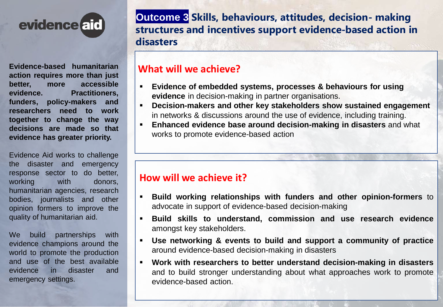

**Evidence-based humanitarian action requires more than just better, more accessible evidence. Practitioners, funders, policy-makers and researchers need to work together to change the way decisions are made so that evidence has greater priority.**

Evidence Aid works to challenge the disaster and emergency response sector to do better, working with donors, humanitarian agencies, research bodies, journalists and other opinion formers to improve the quality of humanitarian aid.

We build partnerships with evidence champions around the world to promote the production and use of the best available evidence in disaster and emergency settings.

• **Outcome 3 Skills, behaviours, attitudes, decision- making structures and incentives support evidence-based action in disasters**

## **What will we achieve?**

- **Evidence of embedded systems, processes & behaviours for using evidence** in decision-making in partner organisations.
- **Decision-makers and other key stakeholders show sustained engagement** in networks & discussions around the use of evidence, including training.
- **Enhanced evidence base around decision-making in disasters** and what works to promote evidence-based action

## **How will we achieve it?**

- **Build working relationships with funders and other opinion-formers** to advocate in support of evidence-based decision-making
- **Build skills to understand, commission and use research evidence** amongst key stakeholders.
- **Use networking & events to build and support a community of practice** around evidence-based decision-making in disasters
- **Work with researchers to better understand decision-making in disasters** and to build stronger understanding about what approaches work to promote evidence-based action.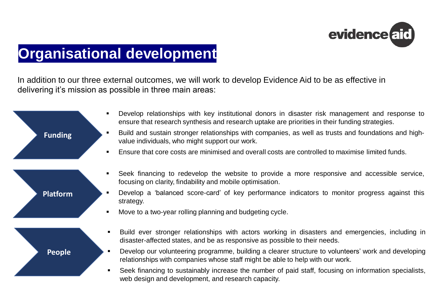

# • **Organisational development**

In addition to our three external outcomes, we will work to develop Evidence Aid to be as effective in delivering it's mission as possible in three main areas:

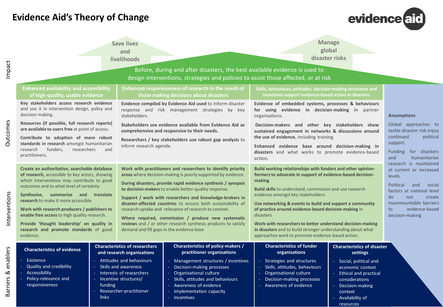## **Evidence Aid's Theory of Change**



| Impact                           | <b>Save lives</b><br>and<br>livelihoods                                                                                                                                                                                                                                                                                                                                                                                                                            |                                                                                                                                                                                                                                                                                                                                                                                                                                          |                                                                                                                                                                                                                                                                                                                                                                                                                                                                                                                                                                     | <b>Manage</b><br>global<br>disaster risks<br>Before, during and after disasters, the best available evidence is used to<br>design interventions, strategies and policies to assist those affected, or at risk                                                                                                                                                                                                                                                                                                                                                  |                                                                                                                                                                                                          |                                                                                                                                                                                                                      |
|----------------------------------|--------------------------------------------------------------------------------------------------------------------------------------------------------------------------------------------------------------------------------------------------------------------------------------------------------------------------------------------------------------------------------------------------------------------------------------------------------------------|------------------------------------------------------------------------------------------------------------------------------------------------------------------------------------------------------------------------------------------------------------------------------------------------------------------------------------------------------------------------------------------------------------------------------------------|---------------------------------------------------------------------------------------------------------------------------------------------------------------------------------------------------------------------------------------------------------------------------------------------------------------------------------------------------------------------------------------------------------------------------------------------------------------------------------------------------------------------------------------------------------------------|----------------------------------------------------------------------------------------------------------------------------------------------------------------------------------------------------------------------------------------------------------------------------------------------------------------------------------------------------------------------------------------------------------------------------------------------------------------------------------------------------------------------------------------------------------------|----------------------------------------------------------------------------------------------------------------------------------------------------------------------------------------------------------|----------------------------------------------------------------------------------------------------------------------------------------------------------------------------------------------------------------------|
| Outcomes                         | <b>Enhanced availability and accessibility</b><br>of high-quality, usable evidence<br>Key stakeholders access research evidence<br>and use it in intervention design, policy and<br>decision making.<br>Resources (if possible, full research reports)<br>are available to users free at point of access.<br>Contribute to adoption of more robust<br>standards in research amongst humanitarian<br>funders,<br>researchers<br>research<br>practitioners.          | Enhanced responsiveness of research to the needs of<br>those making decisions about disasters<br>Evidence compiled by Evidence Aid used to inform disaster<br>response and risk management strategies by key<br>stakeholders.<br>Stakeholders see evidence available from Evidence Aid as<br>comprehensive and responsive to their needs.<br>Researchers / key stakeholders use robust gap analysis to<br>inform research agenda.<br>and |                                                                                                                                                                                                                                                                                                                                                                                                                                                                                                                                                                     | Skills, behaviours, attitudes, decision-making structures and<br>incentives support evidence-based action in disasters<br>Evidence of embedded systems, processes & behaviours<br>for using evidence in decision-making in partner<br>organisations.<br>Decision-makers and other key stakeholders show<br>sustained engagement in networks & discussions around<br>the use of evidence, including training.<br>Enhanced evidence base around decision-making in<br>disasters and what works to promote evidence-based<br>action.                              |                                                                                                                                                                                                          | <b>Assumptions</b><br>Global approaches to<br>tackle disaster risk enjoy<br>continued<br>political<br>support.<br>for disasters<br><b>Funding</b><br>and<br>humanitarian                                             |
| Interventions                    | Create an authoritative, searchable database<br>of research, accessible to key actors, showing<br>which interventions may contribute to good<br>outcomes and to what level of certainty.<br>Synthesise, summarise and<br>research to make it more accessible.<br>Work with research producers / publishers to<br>enable free access to high quality research.<br>Provide 'thought leadership' on quality in<br>research and promote standards of good<br>evidence. | translate<br>demand and fill gaps in the evidence base                                                                                                                                                                                                                                                                                                                                                                                   | Work with practitioners and researchers to identify priority<br>areas where decision-making is poorly supported by evidence.<br>During disasters, provide rapid evidence synthesis / synopsis<br>to decision-makers to enable better-quality response.<br>Support / work with researchers and knowledge-brokers in<br>disaster-affected countries to ensure both sustainability of<br>research uptake and relevance of research to context.<br>Where required, commission / produce new systematic<br>reviews and / or other research synthesis products to satisfy | Build working relationships with funders and other opinion-<br>formers to advocate in support of evidence-based decision-<br>making<br><b>Build skills</b> to understand, commission and use research<br>evidence amongst key stakeholders.<br>Use networking & events to build and support a community<br>of practice around evidence-based decision-making in<br>disasters<br>Work with researchers to better understand decision-making<br>in disasters and to build stronger understanding about what<br>approaches work to promote evidence-based action. |                                                                                                                                                                                                          | research is maintained<br>at current or increased<br>levels.<br>Political<br>and<br>social<br>factors at national level<br>do<br>not<br>create<br>insurmountable barriers<br>evidence-based<br>to<br>decision-making |
| enablers<br>ಹ<br><b>Barriers</b> | <b>Characteristics of evidence</b><br>Existence<br><b>Quality and credibility</b><br>- Accessibility<br>$\omega$<br>Policy-relevance and<br>responsiveness                                                                                                                                                                                                                                                                                                         | <b>Characteristics of researchers</b><br>and research organisations<br>Attitudes and behaviours<br>Skills and awareness<br>Interests of researchers<br>Incentive structures/<br>funding<br>Researcher-practitioner<br>links                                                                                                                                                                                                              | Characteristics of policy-makers /<br>practitioner organisations<br>- Management structures / incentives<br>Decision-making processes<br>Organisational culture<br>Skills, attitudes and behaviours<br>Awareness of evidence<br>Implementation capacity<br><b>Incentives</b>                                                                                                                                                                                                                                                                                        | <b>Characteristics of funder</b><br>organisations<br>- Strategies and structures<br>Skills, attitudes, behaviours<br>Organisational culture<br>Decision-making processes<br>Awareness of evidence                                                                                                                                                                                                                                                                                                                                                              | <b>Characteristics of disaster</b><br>settings<br>- Social, political and<br>economic context<br>- Ethical and practical<br>considerations<br>Decision-making<br>context<br>Availability of<br>resources |                                                                                                                                                                                                                      |